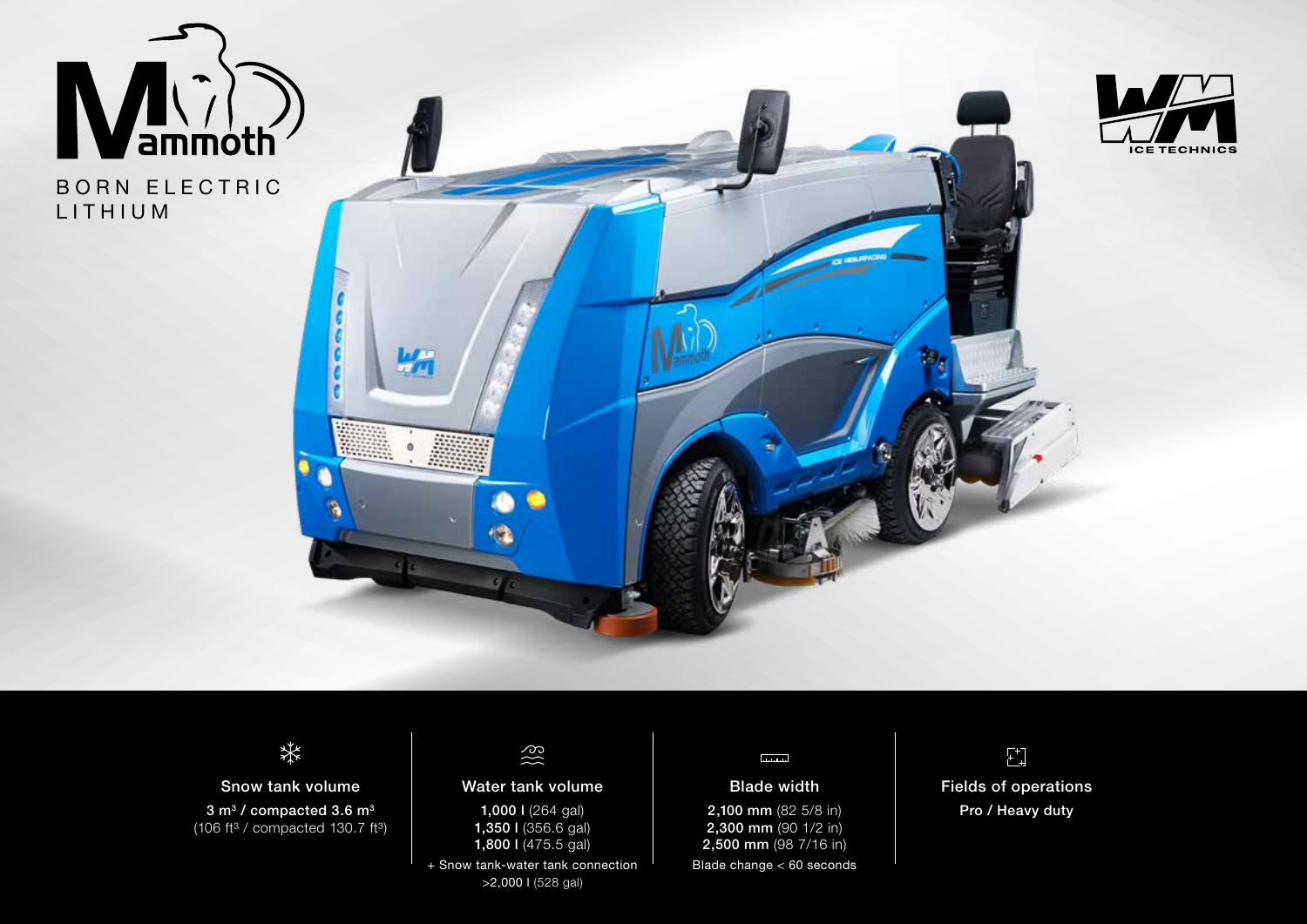

BORN ELECTRIC LITHIUM





# 柒

Snow tank volume 3 m<sup>3</sup> / compacted 3.6 m<sup>3</sup> (106 ft $3$  / compacted 130.7 ft $3$ )

# $\S \S$

### Water tank volume

1,000 l (264 gal) 1,350 l (356.6 gal) 1,800 l (475.5 gal)

+ Snow tank-water tank connection >2,000 l (528 gal)

#### $\overline{1}$

### Blade width

2,100 mm (82 5/8 in) 2,300 mm (90 1/2 in) 2,500 mm (98 7/16 in) Blade change < 60 seconds



Pro / Heavy duty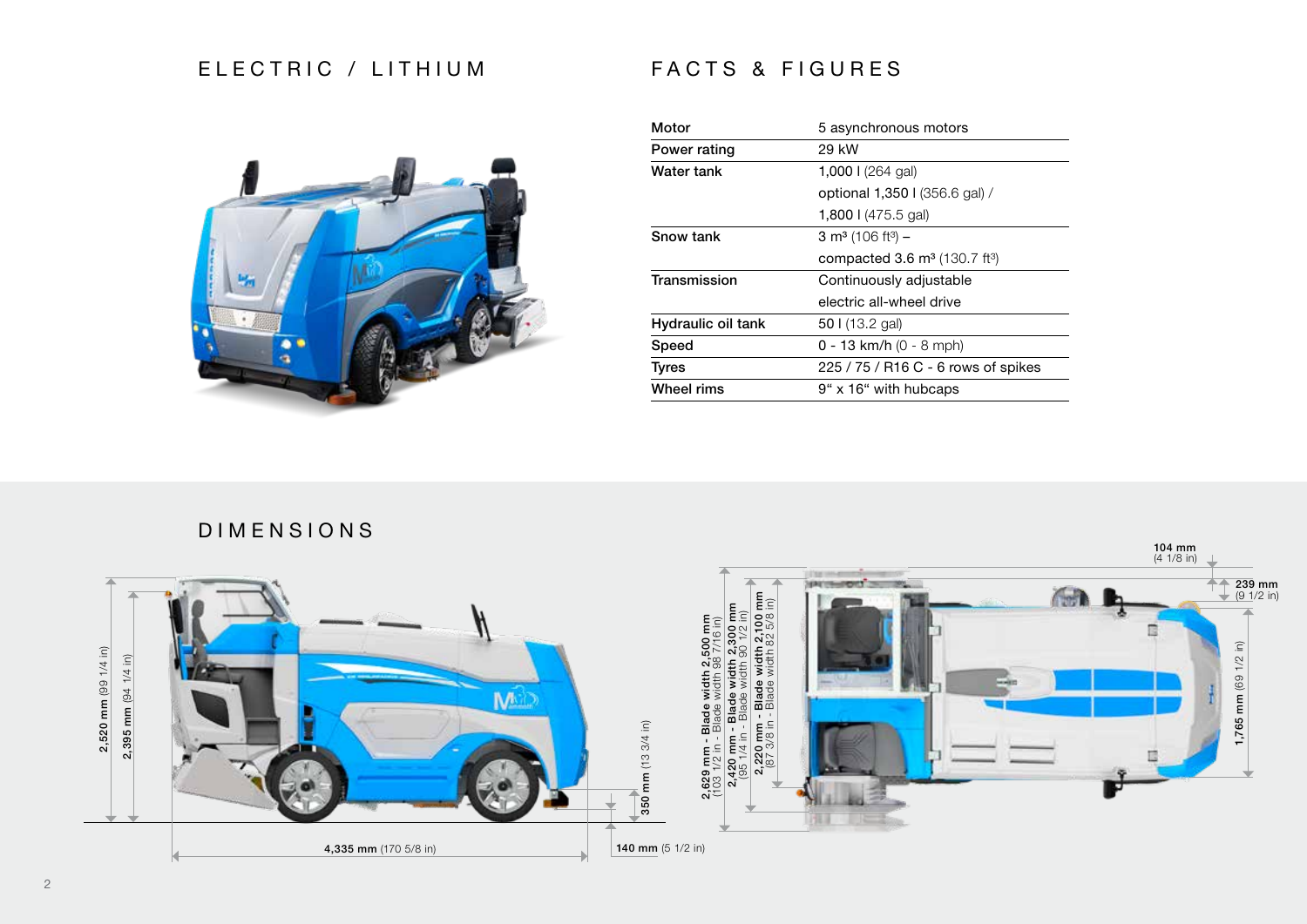## ELECTRIC / LITHIUM



| Motor              | 5 asynchronous motors                        |
|--------------------|----------------------------------------------|
| Power rating       | 29 kW                                        |
| Water tank         | 1,000 $\frac{1}{264}$ gal)                   |
|                    | optional 1,350   (356.6 gal) /               |
|                    | 1,800 $\sqrt{(475.5 \text{ gal})}$           |
| Snow tank          | $3 \text{ m}^3$ (106 ft <sup>3</sup> ) –     |
|                    | compacted 3.6 $m^3$ (130.7 ft <sup>3</sup> ) |
| Transmission       | Continuously adjustable                      |
|                    | electric all-wheel drive                     |
| Hydraulic oil tank | 50 $(13.2)$ gal)                             |
| Speed              | $0 - 13$ km/h $(0 - 8$ mph)                  |
| Tyres              | 225 / 75 / R16 C - 6 rows of spikes          |
| Wheel rims         | 9" x 16" with hubcaps                        |

FACTS & FIGURES



#### 2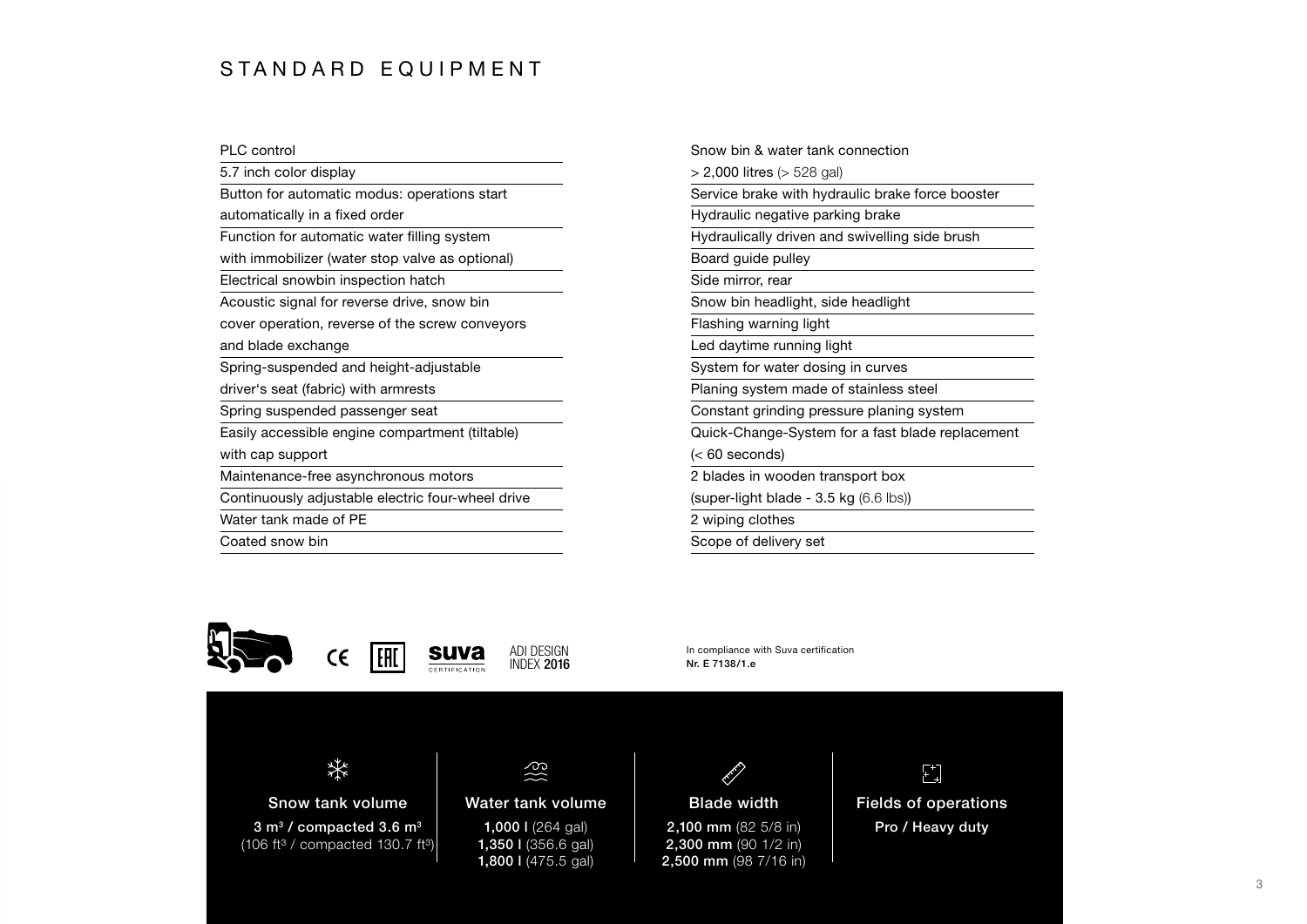### STANDARD EQUIPMENT

| <b>PLC</b> control                                |
|---------------------------------------------------|
| 5.7 inch color display                            |
| Button for automatic modus: operations start      |
| automatically in a fixed order                    |
| Function for automatic water filling system       |
| with immobilizer (water stop valve as optional)   |
| Electrical snowbin inspection hatch               |
| Acoustic signal for reverse drive, snow bin       |
| cover operation, reverse of the screw conveyors   |
| and blade exchange                                |
| Spring-suspended and height-adjustable            |
| driver's seat (fabric) with armrests              |
| Spring suspended passenger seat                   |
| Easily accessible engine compartment (tiltable)   |
| with cap support                                  |
| Maintenance-free asynchronous motors              |
| Continuously adjustable electric four-wheel drive |
| Water tank made of PE                             |
| Coated snow bin                                   |

| Snow bin & water tank connection                 |
|--------------------------------------------------|
| > 2,000 litres (> 528 gal)                       |
| Service brake with hydraulic brake force booster |
| Hydraulic negative parking brake                 |
| Hydraulically driven and swivelling side brush   |
| Board guide pulley                               |
| Side mirror, rear                                |
| Snow bin headlight, side headlight               |
| Flashing warning light                           |
| Led daytime running light                        |
| System for water dosing in curves                |
| Planing system made of stainless steel           |
| Constant grinding pressure planing system        |
| Quick-Change-System for a fast blade replacement |
| $(< 60$ seconds)                                 |
| 2 blades in wooden transport box                 |
| $(super-light blade - 3.5 kg (6.6 lbs))$         |
| 2 wiping clothes                                 |
| Scope of delivery set                            |